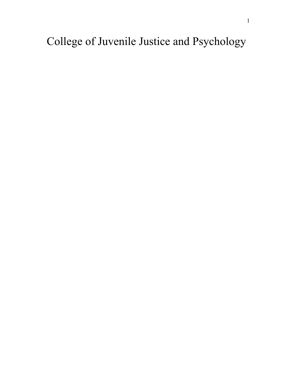College of Juvenile Justice and Psychology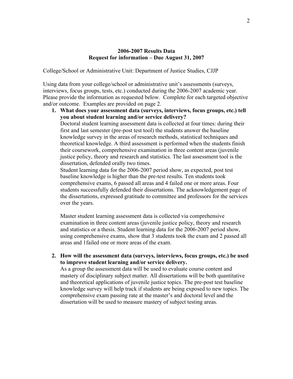College/School or Administrative Unit: Department of Justice Studies, CJJP

Using data from your college/school or administrative unit's assessments (surveys, interviews, focus groups, tests, etc.) conducted during the 2006-2007 academic year. Please provide the information as requested below. Complete for each targeted objective and/or outcome. Examples are provided on page 2.

**1. What does your assessment data (surveys, interviews, focus groups, etc.) tell you about student learning and/or service delivery?** Doctoral student learning assessment data is collected at four times: during their first and last semester (pre-post test tool) the students answer the baseline knowledge survey in the areas of research methods, statistical techniques and theoretical knowledge. A third assessment is performed when the students finish their coursework, comprehensive examination in three content areas (juvenile justice policy, theory and research and statistics. The last assessment tool is the dissertation, defended orally two times.

Student learning data for the 2006-2007 period show, as expected, post test baseline knowledge is higher than the pre-test results. Ten students took comprehensive exams, 6 passed all areas and 4 failed one or more areas. Four students successfully defended their dissertations. The acknowledgement page of the dissertations, expressed gratitude to committee and professors for the services over the years.

Master student learning assessment data is collected via comprehensive examination in three content areas (juvenile justice policy, theory and research and statistics or a thesis. Student learning data for the 2006-2007 period show, using comprehensive exams, show that 3 students took the exam and 2 passed all areas and 1failed one or more areas of the exam.

**2. How will the assessment data (surveys, interviews, focus groups, etc.) be used to improve student learning and/or service delivery.** 

As a group the assessment data will be used to evaluate course content and mastery of disciplinary subject matter. All dissertations will be both quantitative and theoretical applications of juvenile justice topics. The pre-post test baseline knowledge survey will help track if students are being exposed to new topics. The comprehensive exam passing rate at the master's and doctoral level and the dissertation will be used to measure mastery of subject testing areas.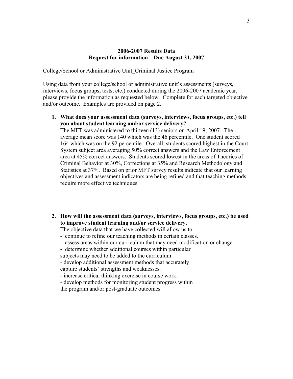College/School or Administrative Unit\_Criminal Justice Program

Using data from your college/school or administrative unit's assessments (surveys, interviews, focus groups, tests, etc.) conducted during the 2006-2007 academic year, please provide the information as requested below. Complete for each targeted objective and/or outcome. Examples are provided on page 2.

**1. What does your assessment data (surveys, interviews, focus groups, etc.) tell you about student learning and/or service delivery?**

The MFT was administered to thirteen (13) seniors on April 19, 2007. The average mean score was 140 which was the 46 percentile. One student scored 164 which was on the 92 percentile. Overall, students scored highest in the Court System subject area averaging 50% correct answers and the Law Enforcement area at 45% correct answers. Students scored lowest in the areas of Theories of Criminal Behavior at 30%, Corrections at 35% and Research Methodology and Statistics at 37%. Based on prior MFT survey results indicate that our learning objectives and assessment indicators are being refined and that teaching methods require more effective techniques.

**2. How will the assessment data (surveys, interviews, focus groups, etc.) be used to improve student learning and/or service delivery.** 

The objective data that we have collected will allow us to:

- continue to refine our teaching methods in certain classes.
- assess areas within our curriculum that may need modification or change.
- determine whether additional courses within particular

subjects may need to be added to the curriculum.

- develop additional assessment methods that accurately capture students' strengths and weaknesses.

- increase critical thinking exercise in course work.

- develop methods for monitoring student progress within

the program and/or post-graduate outcomes.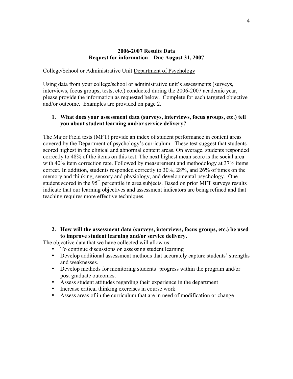College/School or Administrative Unit Department of Psychology

Using data from your college/school or administrative unit's assessments (surveys, interviews, focus groups, tests, etc.) conducted during the 2006-2007 academic year, please provide the information as requested below. Complete for each targeted objective and/or outcome. Examples are provided on page 2.

## **1. What does your assessment data (surveys, interviews, focus groups, etc.) tell you about student learning and/or service delivery?**

The Major Field tests (MFT) provide an index of student performance in content areas covered by the Department of psychology's curriculum. These test suggest that students scored highest in the clinical and abnormal content areas. On average, students responded correctly to 48% of the items on this test. The next highest mean score is the social area with 40% item correction rate. Followed by measurement and methodology at 37% items correct. In addition, students responded correctly to 30%, 28%, and 26% of times on the memory and thinking, sensory and physiology, and developmental psychology. One student scored in the 95<sup>th</sup> percentile in area subjects. Based on prior MFT surveys results indicate that our learning objectives and assessment indicators are being refined and that teaching requires more effective techniques.

**2. How will the assessment data (surveys, interviews, focus groups, etc.) be used to improve student learning and/or service delivery.** 

The objective data that we have collected will allow us:

- To continue discussions on assessing student learning
- Develop additional assessment methods that accurately capture students' strengths and weaknesses.
- Develop methods for monitoring students' progress within the program and/or post graduate outcomes.
- Assess student attitudes regarding their experience in the department
- Increase critical thinking exercises in course work
- Assess areas of in the curriculum that are in need of modification or change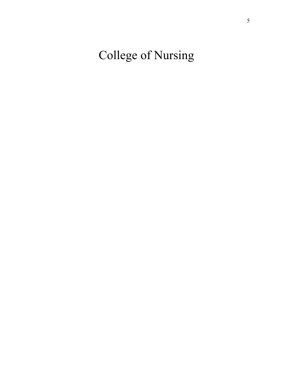College of Nursing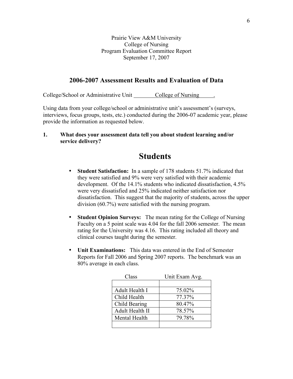Prairie View A&M University College of Nursing Program Evaluation Committee Report September 17, 2007

## **2006-2007 Assessment Results and Evaluation of Data**

College/School or Administrative Unit College of Nursing

Using data from your college/school or administrative unit's assessment's (surveys, interviews, focus groups, tests, etc.) conducted during the 2006-07 academic year, please provide the information as requested below.

**1. What does your assessment data tell you about student learning and/or service delivery?**

# **Students**

- **Student Satisfaction:** In a sample of 178 students 51.7% indicated that they were satisfied and 9% were very satisfied with their academic development. Of the 14.1% students who indicated dissatisfaction, 4.5% were very dissatisfied and 25% indicated neither satisfaction nor dissatisfaction. This suggest that the majority of students, across the upper division (60.7%) were satisfied with the nursing program.
- **Student Opinion Surveys:** The mean rating for the College of Nursing Faculty on a 5 point scale was 4.04 for the fall 2006 semester. The mean rating for the University was 4.16. This rating included all theory and clinical courses taught during the semester.
- **Unit Examinations:** This data was entered in the End of Semester Reports for Fall 2006 and Spring 2007 reports. The benchmark was an 80% average in each class.

| Class           | Unit Exam Avg. |  |
|-----------------|----------------|--|
|                 |                |  |
| Adult Health I  | 75.02%         |  |
| Child Health    | 77.37%         |  |
| Child Bearing   | 80.47%         |  |
| Adult Health II | 78.57%         |  |
| Mental Health   | 79.78%         |  |
|                 |                |  |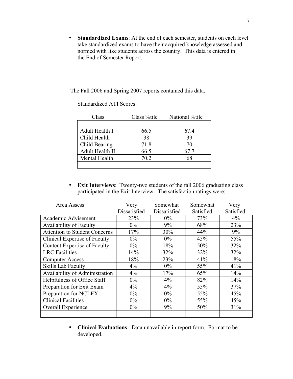• **Standardized Exams**: At the end of each semester, students on each level take standardized exams to have their acquired knowledge assessed and normed with like students across the country. This data is entered in the End of Semester Report.

The Fall 2006 and Spring 2007 reports contained this data.

| Class           | Class %tile | National %tile |
|-----------------|-------------|----------------|
|                 |             |                |
| Adult Health I  | 66.5        | 67.4           |
| Child Health    | 38          | 39             |
| Child Bearing   | 71.8        |                |
| Adult Health II | 66.5        | 67.7           |
| Mental Health   | 70.2        | 68             |
|                 |             |                |

Standardized ATI Scores:

• **Exit Interviews**: Twenty-two students of the fall 2006 graduating class participated in the Exit Interview. The satisfaction ratings were:

| Area Assess                          | Very         | Somewhat     | Somewhat  | Very      |
|--------------------------------------|--------------|--------------|-----------|-----------|
|                                      | Dissatisfied | Dissatisfied | Satisfied | Satisfied |
| Academic Advisement                  | 23%          | $0\%$        | 73%       | $4\%$     |
| <b>Availability of Faculty</b>       | $0\%$        | 9%           | 68%       | 23%       |
| <b>Attention to Student Concerns</b> | 17%          | 30%          | 44%       | 9%        |
| Clinical Expertise of Faculty        | $0\%$        | $0\%$        | 45%       | 55%       |
| <b>Content Expertise of Faculty</b>  | $0\%$        | 18%          | 50%       | 32%       |
| <b>LRC</b> Facilities                | 14%          | 32%          | 32%       | 32%       |
| <b>Computer Access</b>               | 18%          | 23%          | 41%       | 18%       |
| Skills Lab Faculty                   | $4\%$        | $0\%$        | 55%       | 41%       |
| Availability of Administration       | 4%           | 17%          | 65%       | 14%       |
| Helpfulness of Office Staff          | $0\%$        | $4\%$        | 82%       | 14%       |
| Preparation for Exit Exam            | $4\%$        | 4%           | 55%       | 37%       |
| Preparation for NCLEX                | $0\%$        | $0\%$        | 55%       | 45%       |
| <b>Clinical Facilities</b>           | $0\%$        | $0\%$        | 55%       | 45%       |
| Overall Experience                   | $0\%$        | 9%           | 50%       | 31%       |
|                                      |              |              |           |           |

• **Clinical Evaluations**: Data unavailable in report form. Format to be developed.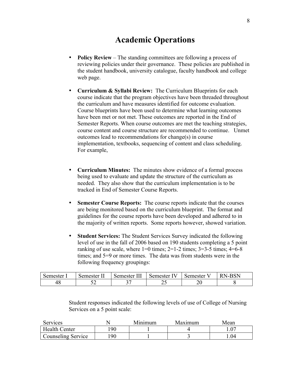# **Academic Operations**

- **Policy Review** The standing committees are following a process of reviewing policies under their governance. These policies are published in the student handbook, university catalogue, faculty handbook and college web page.
- **Curriculum & Syllabi Review:** The Curriculum Blueprints for each course indicate that the program objectives have been threaded throughout the curriculum and have measures identified for outcome evaluation. Course blueprints have been used to determine what learning outcomes have been met or not met. These outcomes are reported in the End of Semester Reports. When course outcomes are met the teaching strategies, course content and course structure are recommended to continue. Unmet outcomes lead to recommendations for change(s) in course implementation, textbooks, sequencing of content and class scheduling. For example,
- **Curriculum Minutes:** The minutes show evidence of a formal process being used to evaluate and update the structure of the curriculum as needed. They also show that the curriculum implementation is to be tracked in End of Semester Course Reports.
- **Semester Course Reports:** The course reports indicate that the courses are being monitored based on the curriculum blueprint. The format and guidelines for the course reports have been developed and adhered to in the majority of written reports. Some reports however, showed variation.
- **Student Services:** The Student Services Survey indicated the following level of use in the fall of 2006 based on 190 students completing a 5 point ranking of use scale, where  $1=0$  times;  $2=1-2$  times;  $3=3-5$  times;  $4=6-8$ times; and 5=9 or more times. The data was from students were in the following frequency groupings:

| Semester          | Semester  | ww.<br>semester | $\sim$<br>Semester | -<br>Semester | - CN |
|-------------------|-----------|-----------------|--------------------|---------------|------|
| $\Lambda$ C<br>40 | - -<br>ັ້ | ⌒ 冖<br>ັ        | ر _                | ∠∪            |      |

Student responses indicated the following levels of use of College of Nursing Services on a 5 point scale:

| Services             |     | Mınımıım | Maximum | Mean |
|----------------------|-----|----------|---------|------|
| <b>Health Center</b> | 90  |          |         |      |
| Counseling Service   | .90 |          |         | .04  |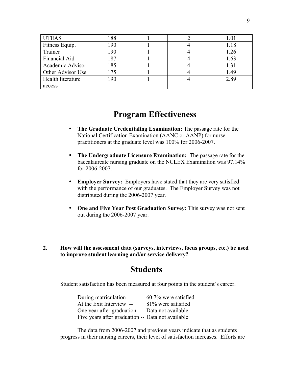| <b>UTEAS</b>      | 188 |  | 1.01 |
|-------------------|-----|--|------|
| Fitness Equip.    | 190 |  | 1.18 |
| Trainer           | 190 |  | 1.26 |
| Financial Aid     | 187 |  | 1.63 |
| Academic Advisor  | 185 |  | 1.31 |
| Other Advisor Use | 175 |  | 1.49 |
| Health literature | 190 |  | 2.89 |
| access            |     |  |      |

# **Program Effectiveness**

- **The Graduate Credentialing Examination:** The passage rate for the National Certification Examination (AANC or AANP) for nurse practitioners at the graduate level was 100% for 2006-2007.
- **The Undergraduate Licensure Examination:** The passage rate for the baccalaureate nursing graduate on the NCLEX Examination was 97.14% for 2006-2007.
- **Employer Survey:** Employers have stated that they are very satisfied with the performance of our graduates. The Employer Survey was not distributed during the 2006-2007 year.
- **One and Five Year Post Graduation Survey:** This survey was not sent out during the 2006-2007 year.
- **2. How will the assessment data (surveys, interviews, focus groups, etc.) be used to improve student learning and/or service delivery?**

# **Students**

Student satisfaction has been measured at four points in the student's career.

| During matriculation --                           | 60.7% were satisfied |
|---------------------------------------------------|----------------------|
| At the Exit Interview --                          | 81% were satisfied   |
| One year after graduation -- Data not available   |                      |
| Five years after graduation -- Data not available |                      |

The data from 2006-2007 and previous years indicate that as students progress in their nursing careers, their level of satisfaction increases. Efforts are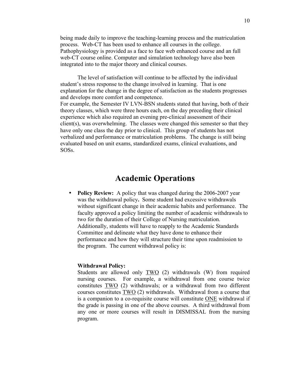being made daily to improve the teaching-learning process and the matriculation process. Web-CT has been used to enhance all courses in the college. Pathophysiology is provided as a face to face web enhanced course and an full web-CT course online. Computer and simulation technology have also been integrated into to the major theory and clinical courses.

The level of satisfaction will continue to be affected by the individual student's stress response to the change involved in learning. That is one explanation for the change in the degree of satisfaction as the students progresses and develops more comfort and competence. For example, the Semester IV LVN-BSN students stated that having, both of their theory classes, which were three hours each, on the day preceding their clinical experience which also required an evening pre-clinical assessment of their client(s), was overwhelming. The classes were changed this semester so that they have only one class the day prior to clinical. This group of students has not verbalized and performance or matriculation problems. The change is still being evaluated based on unit exams, standardized exams, clinical evaluations, and SOSs.

# **Academic Operations**

• **Policy Review:** A policy that was changed during the 2006-2007 year was the withdrawal policy**.** Some student had excessive withdrawals without significant change in their academic habits and performance. The faculty approved a policy limiting the number of academic withdrawals to two for the duration of their College of Nursing matriculation. Additionally, students will have to reapply to the Academic Standards Committee and delineate what they have done to enhance their performance and how they will structure their time upon readmission to the program. The current withdrawal policy is:

#### **Withdrawal Policy:**

Students are allowed only TWO (2) withdrawals (W) from required nursing courses. For example, a withdrawal from one course twice constitutes TWO (2) withdrawals; or a withdrawal from two different courses constitutes TWO (2) withdrawals. Withdrawal from a course that is a companion to a co-requisite course will constitute ONE withdrawal if the grade is passing in one of the above courses. A third withdrawal from any one or more courses will result in DISMISSAL from the nursing program.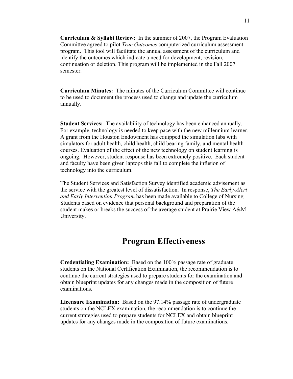**Curriculum & Syllabi Review:** In the summer of 2007, the Program Evaluation Committee agreed to pilot *True Outcomes* computerized curriculum assessment program. This tool will facilitate the annual assessment of the curriculum and identify the outcomes which indicate a need for development, revision, continuation or deletion. This program will be implemented in the Fall 2007 semester.

**Curriculum Minutes:** The minutes of the Curriculum Committee will continue to be used to document the process used to change and update the curriculum annually.

**Student Services:** The availability of technology has been enhanced annually. For example, technology is needed to keep pace with the new millennium learner. A grant from the Houston Endowment has equipped the simulation labs with simulators for adult health, child health, child bearing family, and mental health courses. Evaluation of the effect of the new technology on student learning is ongoing. However, student response has been extremely positive. Each student and faculty have been given laptops this fall to complete the infusion of technology into the curriculum.

The Student Services and Satisfaction Survey identified academic advisement as the service with the greatest level of dissatisfaction. In response, *The Early-Alert and Early Intervention Program* has been made available to College of Nursing Students based on evidence that personal background and preparation of the student makes or breaks the success of the average student at Prairie View A&M University.

# **Program Effectiveness**

**Credentialing Examination:** Based on the 100% passage rate of graduate students on the National Certification Examination, the recommendation is to continue the current strategies used to prepare students for the examination and obtain blueprint updates for any changes made in the composition of future examinations.

**Licensure Examination:** Based on the 97.14% passage rate of undergraduate students on the NCLEX examination, the recommendation is to continue the current strategies used to prepare students for NCLEX and obtain blueprint updates for any changes made in the composition of future examinations.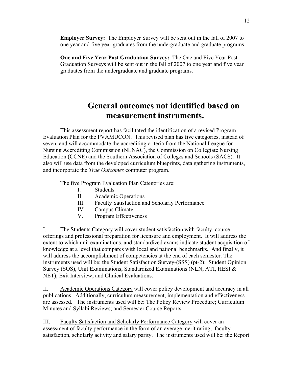**Employer Survey:** The Employer Survey will be sent out in the fall of 2007 to one year and five year graduates from the undergraduate and graduate programs.

**One and Five Year Post Graduation Survey:** The One and Five Year Post Graduation Surveys will be sent out in the fall of 2007 to one year and five year graduates from the undergraduate and graduate programs.

# **General outcomes not identified based on measurement instruments.**

This assessment report has facilitated the identification of a revised Program Evaluation Plan for the PVAMUCON. This revised plan has five categories, instead of seven, and will accommodate the accrediting criteria from the National League for Nursing Accrediting Commission (NLNAC), the Commission on Collegiate Nursing Education (CCNE) and the Southern Association of Colleges and Schools (SACS). It also will use data from the developed curriculum blueprints, data gathering instruments, and incorporate the *True Outcomes* computer program.

The five Program Evaluation Plan Categories are:

- I. Students
- II. Academic Operations
- III. Faculty Satisfaction and Scholarly Performance
- IV. Campus Climate
- V. Program Effectiveness

I. The Students Category will cover student satisfaction with faculty, course offerings and professional preparation for licensure and employment. It will address the extent to which unit examinations, and standardized exams indicate student acquisition of knowledge at a level that compares with local and national benchmarks. And finally, it will address the accomplishment of competencies at the end of each semester. The instruments used will be: the Student Satisfaction Survey-(SSS) (pt-2); Student Opinion Survey (SOS), Unit Examinations; Standardized Examinations (NLN, ATI, HESI & NET); Exit Interview; and Clinical Evaluations.

II. Academic Operations Category will cover policy development and accuracy in all publications. Additionally, curriculum measurement, implementation and effectiveness are assessed. The instruments used will be: The Policy Review Procedure; Curriculum Minutes and Syllabi Reviews; and Semester Course Reports.

III. Faculty Satisfaction and Scholarly Performance Category will cover an assessment of faculty performance in the form of an average merit rating, faculty satisfaction, scholarly activity and salary parity. The instruments used will be: the Report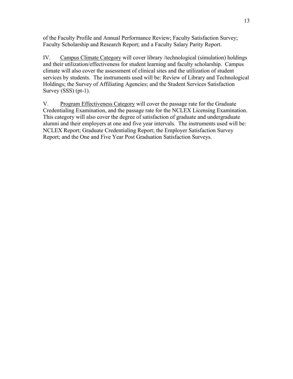of the Faculty Profile and Annual Performance Review; Faculty Satisfaction Survey; Faculty Scholarship and Research Report; and a Faculty Salary Parity Report.

IV. Campus Climate Category will cover library /technological (simulation) holdings and their utilization/effectiveness for student learning and faculty scholarship. Campus climate will also cover the assessment of clinical sites and the utilization of student services by students. The instruments used will be: Review of Library and Technological Holdings; the Survey of Affiliating Agencies; and the Student Services Satisfaction Survey (SSS) (pt-1).

V. Program Effectiveness Category will cover the passage rate for the Graduate Credentialing Examination, and the passage rate for the NCLEX Licensing Examination. This category will also cover the degree of satisfaction of graduate and undergraduate alumni and their employers at one and five year intervals. The instruments used will be: NCLEX Report; Graduate Credentialing Report; the Employer Satisfaction Survey Report; and the One and Five Year Post Graduation Satisfaction Surveys.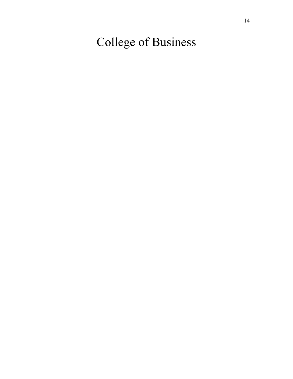College of Business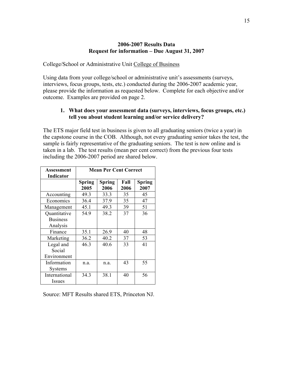## College/School or Administrative Unit College of Business

Using data from your college/school or administrative unit's assessments (surveys, interviews, focus groups, tests, etc.) conducted during the 2006-2007 academic year, please provide the information as requested below. Complete for each objective and/or outcome. Examples are provided on page 2.

# **1. What does your assessment data (surveys, interviews, focus groups, etc.) tell you about student learning and/or service delivery?**

The ETS major field test in business is given to all graduating seniors (twice a year) in the capstone course in the COB. Although, not every graduating senior takes the test, the sample is fairly representative of the graduating seniors. The test is now online and is taken in a lab. The test results (mean per cent correct) from the previous four tests including the 2006-2007 period are shared below.

| Assessment       | <b>Mean Per Cent Correct</b> |               |      |               |
|------------------|------------------------------|---------------|------|---------------|
| <b>Indicator</b> |                              |               |      |               |
|                  | <b>Spring</b>                | <b>Spring</b> | Fall | <b>Spring</b> |
|                  | 2005                         | 2006          | 2006 | 2007          |
| Accounting       | 49.3                         | 33.3          | 35   | 45            |
| Economics        | 36.4                         | 37.9          | 35   | 47            |
| Management       | 45.1                         | 49.3          | 39   | 51            |
| Quantitative     | 54.9                         | 38.2          | 37   | 36            |
| <b>Business</b>  |                              |               |      |               |
| Analysis         |                              |               |      |               |
| Finance          | 35.1                         | 26.9          | 40   | 48            |
| Marketing        | 36.2                         | 40.2          | 37   | 53            |
| Legal and        | 46.3                         | 40.6          | 33   | 41            |
| Social           |                              |               |      |               |
| Environment      |                              |               |      |               |
| Information      | n.a.                         | n.a.          | 43   | 55            |
| <b>Systems</b>   |                              |               |      |               |
| International    | 34.3                         | 38.1          | 40   | 56            |
| Issues           |                              |               |      |               |

Source: MFT Results shared ETS, Princeton NJ.